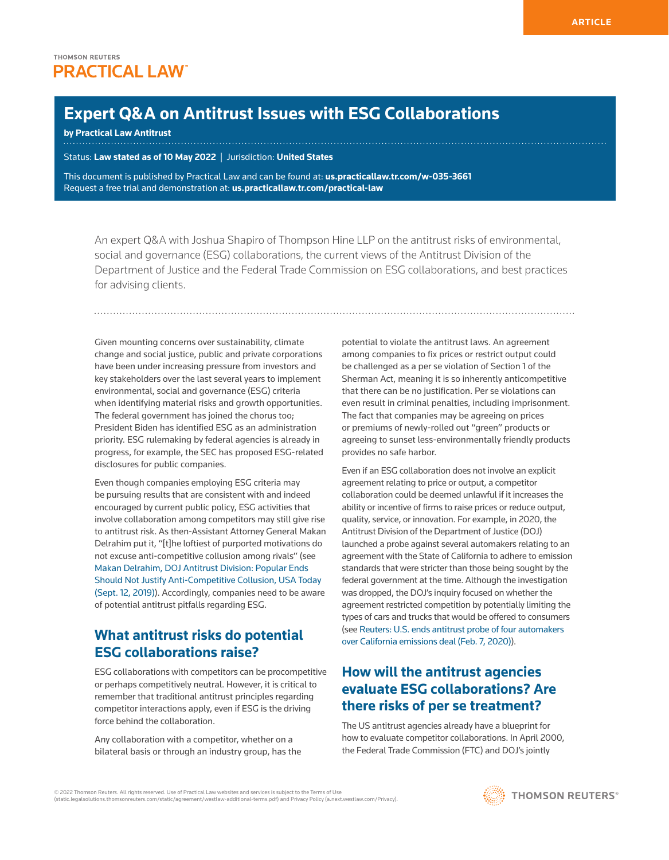# **Expert Q&A on Antitrust Issues with ESG Collaborations**

**by Practical Law Antitrust**

Status: **Law stated as of 10 May 2022** | Jurisdiction: **United States**

This document is published by Practical Law and can be found at[:](http://us.practicallaw.tr.com/W-028-4180) **[us.practicallaw.tr.com/w-035-3661](http://us.practicallaw.tr.com/w-035-3661)** Request a free trial and demonstration at: **[us.practicallaw.tr.com/practical-law](https://legal.thomsonreuters.com/en-us/products/practical-law/trial-overview
)**

An expert Q&A with Joshua Shapiro of Thompson Hine LLP on the antitrust risks of environmental, social and governance (ESG) collaborations, the current views of the Antitrust Division of the Department of Justice and the Federal Trade Commission on ESG collaborations, and best practices for advising clients.

Given mounting concerns over sustainability, climate change and social justice, public and private corporations have been under increasing pressure from investors and key stakeholders over the last several years to implement environmental, social and governance (ESG) criteria when identifying material risks and growth opportunities. The federal government has joined the chorus too; President Biden has identified ESG as an administration priority. ESG rulemaking by federal agencies is already in progress, for example, the SEC has proposed ESG-related disclosures for public companies.

Even though companies employing ESG criteria may be pursuing results that are consistent with and indeed encouraged by current public policy, ESG activities that involve collaboration among competitors may still give rise to antitrust risk. As then-Assistant Attorney General Makan Delrahim put it, "[t]he loftiest of purported motivations do not excuse anti-competitive collusion among rivals" (see [Makan Delrahim, DOJ Antitrust Division: Popular Ends](https://www.usatoday.com/story/opinion/2019/09/12/doj-antitrust-division-popular-ends-dont-justify-collusion-editorials-debates/2306078001/)  [Should Not Justify Anti-Competitive Collusion, USA Today](https://www.usatoday.com/story/opinion/2019/09/12/doj-antitrust-division-popular-ends-dont-justify-collusion-editorials-debates/2306078001/)  [\(Sept. 12, 2019\)\)](https://www.usatoday.com/story/opinion/2019/09/12/doj-antitrust-division-popular-ends-dont-justify-collusion-editorials-debates/2306078001/). Accordingly, companies need to be aware of potential antitrust pitfalls regarding ESG.

#### **What antitrust risks do potential ESG collaborations raise?**

ESG collaborations with competitors can be procompetitive or perhaps competitively neutral. However, it is critical to remember that traditional antitrust principles regarding competitor interactions apply, even if ESG is the driving force behind the collaboration.

Any collaboration with a competitor, whether on a bilateral basis or through an industry group, has the potential to violate the antitrust laws. An agreement among companies to fix prices or restrict output could be challenged as a [per se](http://www.westlaw.com/Document/I03f4d78ceee311e28578f7ccc38dcbee/View/FullText.html?originationContext=document&vr=3.0&rs=cblt1.0&transitionType=DocumentItem&contextData=(sc.Default)) violation of [Section 1 of the](http://www.westlaw.com/Document/I03f4d787eee311e28578f7ccc38dcbee/View/FullText.html?originationContext=document&vr=3.0&rs=cblt1.0&transitionType=DocumentItem&contextData=(sc.Default))  [Sherman Act](http://www.westlaw.com/Document/I03f4d787eee311e28578f7ccc38dcbee/View/FullText.html?originationContext=document&vr=3.0&rs=cblt1.0&transitionType=DocumentItem&contextData=(sc.Default)), meaning it is so inherently anticompetitive that there can be no justification. Per se violations can even result in criminal penalties, including imprisonment. The fact that companies may be agreeing on prices or premiums of newly-rolled out "green" products or agreeing to sunset less-environmentally friendly products provides no safe harbor.

Even if an ESG collaboration does not involve an explicit agreement relating to price or output, a competitor collaboration could be deemed unlawful if it increases the ability or incentive of firms to raise prices or reduce output, quality, service, or innovation. For example, in 2020, the [Antitrust Division](http://www.westlaw.com/Document/Ib62e9eda708811e79bef99c0ee06c731/View/FullText.html?originationContext=document&vr=3.0&rs=cblt1.0&transitionType=DocumentItem&contextData=(sc.Default)) of the [Department of Justice](http://www.westlaw.com/Document/I1559f7aeeef211e28578f7ccc38dcbee/View/FullText.html?originationContext=document&vr=3.0&rs=cblt1.0&transitionType=DocumentItem&contextData=(sc.Default)) (DOJ) launched a probe against several automakers relating to an agreement with the State of California to adhere to emission standards that were stricter than those being sought by the federal government at the time. Although the investigation was dropped, the DOJ's inquiry focused on whether the agreement restricted competition by potentially limiting the types of cars and trucks that would be offered to consumers (see [Reuters: U.S. ends antitrust probe of four automakers](https://www.reuters.com/article/us-autos-emissions-antitrust/u-s-ends-antitrust-probe-of-four-automakers-over-california-emissions-deal-idUSKBN2012NP)  [over California emissions deal \(Feb. 7, 2020\)\)](https://www.reuters.com/article/us-autos-emissions-antitrust/u-s-ends-antitrust-probe-of-four-automakers-over-california-emissions-deal-idUSKBN2012NP).

## **How will the antitrust agencies evaluate ESG collaborations? Are there risks of per se treatment?**

The US antitrust agencies already have a blueprint for how to evaluate competitor collaborations. In April 2000, the [Federal Trade Commission](http://www.westlaw.com/Document/I1559f7aceef211e28578f7ccc38dcbee/View/FullText.html?originationContext=document&vr=3.0&rs=cblt1.0&transitionType=DocumentItem&contextData=(sc.Default)) (FTC) and DOJ's jointly

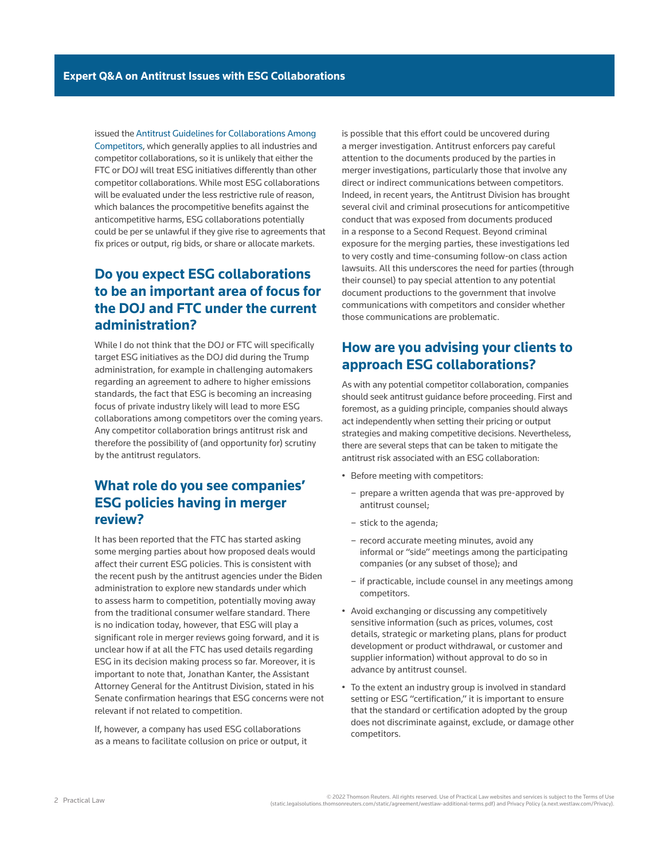issued the [Antitrust Guidelines for Collaborations Among](https://www.ftc.gov/sites/default/files/documents/public_events/joint-venture-hearings-antitrust-guidelines-collaboration-among-competitors/ftcdojguidelines-2.pdf)  [Competitors](https://www.ftc.gov/sites/default/files/documents/public_events/joint-venture-hearings-antitrust-guidelines-collaboration-among-competitors/ftcdojguidelines-2.pdf), which generally applies to all industries and competitor collaborations, so it is unlikely that either the FTC or DOJ will treat ESG initiatives differently than other competitor collaborations. While most ESG collaborations will be evaluated under the less restrictive [rule of reason,](http://www.westlaw.com/Document/I03f4d78aeee311e28578f7ccc38dcbee/View/FullText.html?originationContext=document&vr=3.0&rs=cblt1.0&transitionType=DocumentItem&contextData=(sc.Default)) which balances the procompetitive benefits against the anticompetitive harms, ESG collaborations potentially could be per se unlawful if they give rise to agreements that fix prices or output, rig bids, or share or allocate markets.

#### **Do you expect ESG collaborations to be an important area of focus for the DOJ and FTC under the current administration?**

While I do not think that the DOJ or FTC will specifically target ESG initiatives as the DOJ did during the Trump administration, for example in challenging automakers regarding an agreement to adhere to higher emissions standards, the fact that ESG is becoming an increasing focus of private industry likely will lead to more ESG collaborations among competitors over the coming years. Any competitor collaboration brings antitrust risk and therefore the possibility of (and opportunity for) scrutiny by the antitrust regulators.

#### **What role do you see companies' ESG policies having in merger review?**

It has been reported that the FTC has started asking some merging parties about how proposed deals would affect their current ESG policies. This is consistent with the recent push by the antitrust agencies under the Biden administration to explore new standards under which to assess harm to competition, potentially moving away from the traditional consumer welfare standard. There is no indication today, however, that ESG will play a significant role in merger reviews going forward, and it is unclear how if at all the FTC has used details regarding ESG in its decision making process so far. Moreover, it is important to note that, Jonathan Kanter, the Assistant Attorney General for the Antitrust Division, stated in his Senate confirmation hearings that ESG concerns were not relevant if not related to competition.

If, however, a company has used ESG collaborations as a means to facilitate collusion on price or output, it is possible that this effort could be uncovered during a merger investigation. Antitrust enforcers pay careful attention to the documents produced by the parties in merger investigations, particularly those that involve any direct or indirect communications between competitors. Indeed, in recent years, the Antitrust Division has brought several civil and criminal prosecutions for anticompetitive conduct that was exposed from documents produced in a response to a [Second Request.](http://www.westlaw.com/Document/Ied8c255b46bc11e798dc8b09b4f043e0/View/FullText.html?originationContext=document&vr=3.0&rs=cblt1.0&transitionType=DocumentItem&contextData=(sc.Default)) Beyond criminal exposure for the merging parties, these investigations led to very costly and time-consuming follow-on class action lawsuits. All this underscores the need for parties (through their counsel) to pay special attention to any potential document productions to the government that involve communications with competitors and consider whether those communications are problematic.

## **How are you advising your clients to approach ESG collaborations?**

As with any potential competitor collaboration, companies should seek antitrust guidance before proceeding. First and foremost, as a guiding principle, companies should always act independently when setting their pricing or output strategies and making competitive decisions. Nevertheless, there are several steps that can be taken to mitigate the antitrust risk associated with an ESG collaboration:

- Before meeting with competitors:
	- prepare a written agenda that was pre-approved by antitrust counsel;
	- stick to the agenda;
	- record accurate meeting minutes, avoid any informal or "side" meetings among the participating companies (or any subset of those); and
	- if practicable, include counsel in any meetings among competitors.
- Avoid exchanging or discussing any competitively sensitive information (such as prices, volumes, cost details, strategic or marketing plans, plans for product development or product withdrawal, or customer and supplier information) without approval to do so in advance by antitrust counsel.
- To the extent an industry group is involved in standard setting or ESG "certification," it is important to ensure that the standard or certification adopted by the group does not discriminate against, exclude, or damage other competitors.